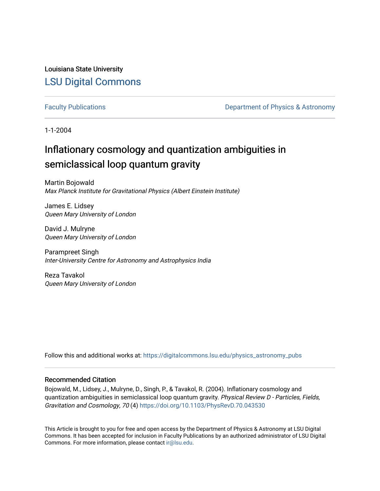Louisiana State University [LSU Digital Commons](https://digitalcommons.lsu.edu/)

[Faculty Publications](https://digitalcommons.lsu.edu/physics_astronomy_pubs) **Exercise 2 and Table 2 and Table 2 and Table 2 and Table 2 and Table 2 and Table 2 and Table 2 and Table 2 and Table 2 and Table 2 and Table 2 and Table 2 and Table 2 and Table 2 and Table 2 and Table** 

1-1-2004

# Inflationary cosmology and quantization ambiguities in semiclassical loop quantum gravity

Martin Bojowald Max Planck Institute for Gravitational Physics (Albert Einstein Institute)

James E. Lidsey Queen Mary University of London

David J. Mulryne Queen Mary University of London

Parampreet Singh Inter-University Centre for Astronomy and Astrophysics India

Reza Tavakol Queen Mary University of London

Follow this and additional works at: [https://digitalcommons.lsu.edu/physics\\_astronomy\\_pubs](https://digitalcommons.lsu.edu/physics_astronomy_pubs?utm_source=digitalcommons.lsu.edu%2Fphysics_astronomy_pubs%2F5101&utm_medium=PDF&utm_campaign=PDFCoverPages) 

# Recommended Citation

Bojowald, M., Lidsey, J., Mulryne, D., Singh, P., & Tavakol, R. (2004). Inflationary cosmology and quantization ambiguities in semiclassical loop quantum gravity. Physical Review D - Particles, Fields, Gravitation and Cosmology, 70 (4)<https://doi.org/10.1103/PhysRevD.70.043530>

This Article is brought to you for free and open access by the Department of Physics & Astronomy at LSU Digital Commons. It has been accepted for inclusion in Faculty Publications by an authorized administrator of LSU Digital Commons. For more information, please contact [ir@lsu.edu](mailto:ir@lsu.edu).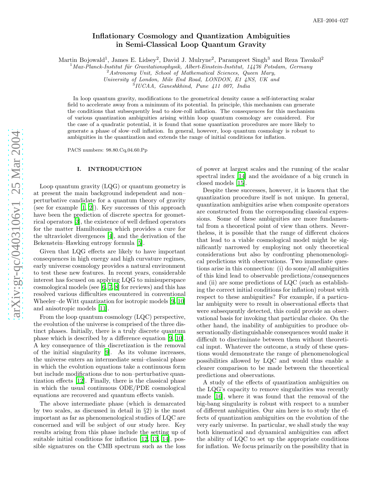# Inflationary Cosmology and Quantization Ambiguities in Semi-Classical Loop Quantum Gravity

Martin Bojowald<sup>1</sup>, James E. Lidsey<sup>2</sup>, David J. Mulryne<sup>2</sup>, Parampreet Singh<sup>3</sup> and Reza Tavakol<sup>2</sup>

 $1$ Max-Planck-Institut für Gravitationsphysik, Albert-Einstein-Institut, 14476 Potsdam, Germany  $2$ Astronomy Unit, School of Mathematical Sciences, Queen Mary,

University of London, Mile End Road, LONDON, E1 4NS, UK and <sup>3</sup>

 ${}^{3}IUCAA$ , Ganeshkhind, Pune 411 007, India

In loop quantum gravity, modifications to the geometrical density cause a self-interacting scalar field to accelerate away from a minimum of its potential. In principle, this mechanism can generate the conditions that subsequently lead to slow-roll inflation. The consequences for this mechanism of various quantization ambiguities arising within loop quantum cosmology are considered. For the case of a quadratic potential, it is found that some quantization procedures are more likely to generate a phase of slow–roll inflation. In general, however, loop quantum cosmology is robust to ambiguities in the quantization and extends the range of initial conditions for inflation.

PACS numbers: 98.80.Cq,04.60.Pp

### I. INTRODUCTION

Loop quantum gravity (LQG) or quantum geometry is at present the main background independent and non– perturbative candidate for a quantum theory of gravity (see for example [\[1](#page-15-0), [2\]](#page-15-1)). Key successes of this approach have been the prediction of discrete spectra for geometrical operators [\[3\]](#page-15-2), the existence of well defined operators for the matter Hamiltonians which provides a cure for the ultraviolet divergences [\[4](#page-15-3)], and the derivation of the Bekenstein–Hawking entropy formula [\[5\]](#page-15-4).

Given that LQG effects are likely to have important consequences in high energy and high curvature regimes, early universe cosmology provides a natural environment to test these new features. In recent years, considerable interest has focused on applying LQG to minisuperspace cosmological models (see [\[6,](#page-15-5) [7](#page-15-6), [8](#page-15-7)] for reviews) and this has resolved various difficulties encountered in conventional Wheeler–de Witt quantization for isotropic models [\[9](#page-15-8), [10](#page-15-9)] and anisotropic models [\[11\]](#page-15-10).

From the loop quantum cosmology (LQC) perspective, the evolution of the universe is comprised of the three distinct phases. Initially, there is a truly discrete quantum phase which is described by a difference equation [\[9,](#page-15-8) [10\]](#page-15-9). A key consequence of this discretization is the removal of the initial singularity [\[9](#page-15-8)]. As its volume increases, the universe enters an intermediate semi–classical phase in which the evolution equations take a continuous form but include modifications due to non–perturbative quantization effects [\[12](#page-15-11)]. Finally, there is the classical phase in which the usual continuous ODE/PDE cosmological equations are recovered and quantum effects vanish.

The above intermediate phase (which is demarcated by two scales, as discussed in detail in §2) is the most important as far as phenomenological studies of LQC are concerned and will be subject of our study here. Key results arising from this phase include the setting up of suitable initial conditions for inflation [\[12,](#page-15-11) [13,](#page-15-12) [14\]](#page-15-13), possible signatures on the CMB spectrum such as the loss of power at largest scales and the running of the scalar spectral index [\[14\]](#page-15-13) and the avoidance of a big crunch in closed models [\[15\]](#page-15-14).

Despite these successes, however, it is known that the quantization procedure itself is not unique. In general, quantization ambiguities arise when composite operators are constructed from the corresponding classical expressions. Some of these ambiguities are more fundamental from a theoretical point of view than others. Nevertheless, it is possible that the range of different choices that lead to a viable cosmological model might be significantly narrowed by employing not only theoretical considerations but also by confronting phenomenological predictions with observations. Two immediate questions arise in this connection: (i) do some/all ambiguities of this kind lead to observable predictions/consequences and (ii) are some predictions of LQC (such as establishing the correct initial conditions for inflation) robust with respect to these ambiguities? For example, if a particular ambiguity were to result in observational effects that were subsequently detected, this could provide an observational basis for invoking that particular choice. On the other hand, the inability of ambiguities to produce observationally distinguishable consequences would make it difficult to discriminate between them without theoretical input. Whatever the outcome, a study of these questions would demonstrate the range of phenomenological possibilities allowed by LQC and would thus enable a clearer comparison to be made between the theoretical predictions and observations.

A study of the effects of quantization ambiguities on the LQG's capacity to remove singularities was recently made [\[16](#page-15-15)], where it was found that the removal of the big-bang singularity is robust with respect to a number of different ambiguities. Our aim here is to study the effects of quantization ambiguities on the evolution of the very early universe. In particular, we shall study the way both kinematical and dynamical ambiguities can affect the ability of LQC to set up the appropriate conditions for inflation. We focus primarily on the possibility that in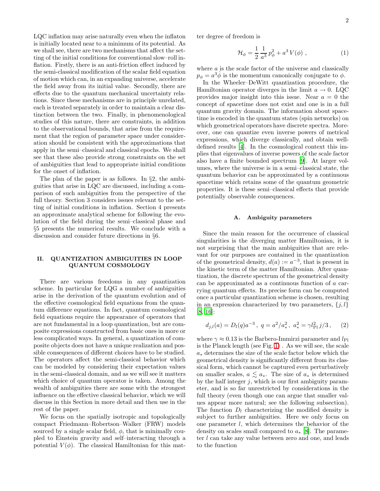LQC inflation may arise naturally even when the inflaton is initially located near to a minimum of its potential. As we shall see, there are two mechanisms that affect the setting of the initial conditions for conventional slow–roll inflation. Firstly, there is an anti-friction effect induced by the semi-classical modification of the scalar field equation of motion which can, in an expanding universe, accelerate the field away from its initial value. Secondly, there are effects due to the quantum mechanical uncertainty relations. Since these mechanisms are in principle unrelated, each is treated separately in order to maintain a clear distinction between the two. Finally, in phenomenological studies of this nature, there are constraints, in addition to the observational bounds, that arise from the requirement that the region of parameter space under consideration should be consistent with the approximations that apply in the semi–classical and classical epochs. We shall see that these also provide strong constraints on the set of ambiguities that lead to appropriate initial conditions for the onset of inflation.

The plan of the paper is as follows. In §2, the ambiguities that arise in LQC are discussed, including a comparison of such ambiguities from the perspective of the full theory. Section 3 considers issues relevant to the setting of initial conditions in inflation. Section 4 presents an approximate analytical scheme for following the evolution of the field during the semi–classical phase and §5 presents the numerical results. We conclude with a discussion and consider future directions in §6.

## II. QUANTIZATION AMBIGUITIES IN LOOP QUANTUM COSMOLOGY

There are various freedoms in any quantization scheme. In particular for LQG a number of ambiguities arise in the derivation of the quantum evolution and of the effective cosmological field equations from the quantum difference equations. In fact, quantum cosmological field equations require the appearance of operators that are not fundamental in a loop quantization, but are composite expressions constructed from basic ones in more or less complicated ways. In general, a quantization of composite objects does not have a unique realization and possible consequences of different choices have to be studied. The operators affect the semi-classical behavior which can be modeled by considering their expectation values in the semi-classical domain, and as we will see it matters which choice of quantum operator is taken. Among the wealth of ambiguities there are some with the strongest influence on the effective classical behavior, which we will discuss in this Section in more detail and then use in the rest of the paper.

We focus on the spatially isotropic and topologically compact Friedmann–Robertson–Walker (FRW) models sourced by a single scalar field,  $\phi$ , that is minimally coupled to Einstein gravity and self–interacting through a potential  $V(\phi)$ . The classical Hamiltonian for this mat<span id="page-2-0"></span>ter degree of freedom is

$$
\mathcal{H}_{\phi} = \frac{1}{2} \frac{1}{a^3} p_{\phi}^2 + a^3 V(\phi) , \qquad (1)
$$

where  $a$  is the scale factor of the universe and classically  $p_{\phi} = a^3 \dot{\phi}$  is the momentum canonically conjugate to  $\phi$ .

In the Wheeler–DeWitt quantization procedure, the Hamiltonian operator diverges in the limit  $a \to 0$ . LQC provides major insight into this issue. Near  $a = 0$  the concept of spacetime does not exist and one is in a full quantum gravity domain. The information about spacetime is encoded in the quantum states (spin networks) on which geometrical operators have discrete spectra. Moreover, one can quantize even inverse powers of metrical expressions, which diverge classically, and obtain welldefined results [\[4\]](#page-15-3). In the cosmological context this implies that eigenvalues of inverse powers of the scale factor also have a finite bounded spectrum [\[9\]](#page-15-8). At larger volumes, where the universe is in a semi–classical state, the quantum behavior can be approximated by a continuous spacetime which retains some of the quantum geometric properties. It is these semi–classical effects that provide potentially observable consequences.

#### A. Ambiguity parameters

Since the main reason for the occurrence of classical singularities is the diverging matter Hamiltonian, it is not surprising that the main ambiguities that are relevant for our purposes are contained in the quantization of the geometrical density,  $d(a) := a^{-3}$ , that is present in the kinetic term of the matter Hamiltonian. After quantization, the discrete spectrum of the geometrical density can be approximated as a continuous function of a carrying quantum effects. Its precise form can be computed once a particular quantization scheme is chosen, resulting in an expression characterized by two parameters,  $\{j, l\}$ [\[8,](#page-15-7) [16\]](#page-15-15):

$$
d_{j,l}(a) = D_l(q)a^{-3}, q = a^2/a_*^2, a_*^2 = \gamma l_{\rm Pl}^2 j/3,
$$
 (2)

where  $\gamma \approx 0.13$  is the Barbero-Immirzi parameter and  $l_{\text{Pl}}$ is the Planck length (see Fig. [1\)](#page-3-0) . As we will see, the scale  $a_*$  determines the size of the scale factor below which the geometrical density is significantly different from its classical form, which cannot be captured even perturbatively on smaller scales,  $a \leq a_*$ . The size of  $a_*$  is determined by the half integer  $j$ , which is our first ambiguity parameter, and is so far unrestricted by considerations in the full theory (even though one can argue that smaller values appear more natural; see the following subsection). The function  $D_l$  characterizing the modified density is subject to further ambiguities. Here we only focus on one parameter l, which determines the behavior of the density on scales small compared to  $a_*$  [\[8](#page-15-7)]. The parameter l can take any value between zero and one, and leads to the function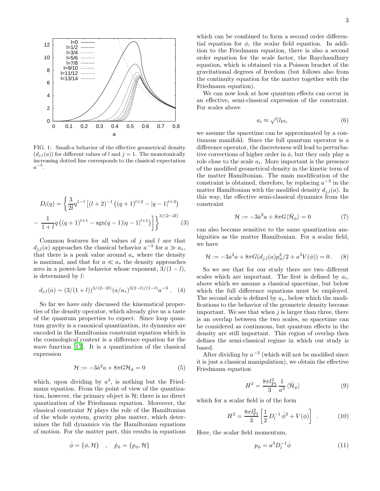

<span id="page-3-0"></span>FIG. 1: Small-a behavior of the effective geometrical density  $(d_{i,l}(a))$  for different values of l and  $j = 1$ . The monotonically increasing dotted line corresponds to the classical expectation  $a^{-3}$ .

<span id="page-3-6"></span>
$$
D_l(q) = \left\{ \frac{3}{2l} q^{1-l} \left[ (l+2)^{-1} \left( (q+1)^{l+2} - |q-1|^{l+2} \right) \right. \\ - \frac{1}{1+l} q \left( (q+1)^{l+1} - \text{sgn}(q-1) |q-1|^{l+1} \right) \right\}^{3/(2-2l)} . \tag{3}
$$

Common features for all values of  $j$  and  $l$  are that  $d_{j,l}(a)$  approaches the classical behavior  $a^{-3}$  for  $a \gg a_*$ , that there is a peak value around  $a_*$  where the density is maximal, and that for  $a \ll a_*$  the density approaches zero in a power-law behavior whose exponent,  $3/(1 - l)$ , is determined by l:

$$
d_{j,l}(a) \sim (3/(1+l))^{3/(2-2l)} (a/a_*)^{3(2-l)/(1-l)} a^{-3}
$$
. (4)

<span id="page-3-5"></span>So far we have only discussed the kinematical properties of the density operator, which already give us a taste of the quantum properties to expect. Since loop quantum gravity is a canonical quantization, its dynamics are encoded in the Hamiltonian constraint equation which in the cosmological context is a difference equation for the wave function [\[17\]](#page-15-16). It is a quantization of the classical expression

$$
\mathcal{H} := -3\dot{a}^2 a + 8\pi G \mathcal{H}_{\phi} = 0 \tag{5}
$$

<span id="page-3-2"></span>which, upon dividing by  $a^3$ , is nothing but the Friedmann equation. From the point of view of the quantization, however, the primary object is  $\mathcal{H}$ ; there is no direct quantization of the Friedmann equation. Moreover, the classical constraint  $H$  plays the role of the Hamiltonian of the whole system, gravity plus matter, which determines the full dynamics via the Hamiltonian equations of motion. For the matter part, this results in equations

$$
\dot{\phi} = \{\phi, \mathcal{H}\} \quad , \quad \dot{p}_{\phi} = \{p_{\phi}, \mathcal{H}\}
$$

which can be combined to form a second order differential equation for  $\phi$ , the scalar field equation. In addition to the Friedmann equation, there is also a second order equation for the scale factor, the Raychaudhury equation, which is obtained via a Poisson bracket of the gravitational degrees of freedom (but follows also from the continuity equation for the matter together with the Friedmann equation).

We can now look at how quantum effects can occur in an effective, semi-classical expression of the constraint. For scales above

$$
a_i \approx \sqrt{\gamma} l_{\text{Pl}},\tag{6}
$$

we assume the spacetime can be approximated by a continuous manifold. Since the full quantum operator is a difference operator, the discreteness will lead to perturbative corrections of higher order in  $\dot{a}$ , but they only play a role close to the scale  $a_i$ . More important is the presence of the modified geometrical density in the kinetic term of the matter Hamiltonian. The main modification of the constraint is obtained, therefore, by replacing  $a^{-3}$  in the matter Hamiltonian with the modified density  $d_{i,l}(a)$ . In this way, the effective semi-classical dynamics from the constraint

$$
\mathcal{H} := -3\dot{a}^2 a + 8\pi G \langle \hat{\mathcal{H}}_{\phi} \rangle = 0 \tag{7}
$$

can also become sensitive to the same quantization ambiguities as the matter Hamiltonian. For a scalar field, we have

$$
\mathcal{H} := -3\dot{a}^2 a + 8\pi G (d_{j,l}(a) p_{\phi}^2/2 + a^3 V(\phi)) = 0.
$$
 (8)

So we see that for our study there are two different scales which are important. The first is defined by  $a_i$ , above which we assume a classical spacetime, but below which the full difference equations must be employed. The second scale is defined by  $a_*$ , below which the modifications to the behavior of the geometric density become important. We see that when  $j$  is larger than three, there is an overlap between the two scales, so spacetime can be considered as continuous, but quantum effects in the density are still important. This region of overlap then defines the semi-classical regime in which our study is based.

After dividing by  $a^{-3}$  (which will not be modified since it is just a classical manipulation), we obtain the effective Friedmann equation

$$
H^2 = \frac{8\pi l_{\rm Pl}^2}{3} \frac{1}{a^3} \langle \hat{\mathcal{H}}_{\phi} \rangle \tag{9}
$$

<span id="page-3-4"></span><span id="page-3-3"></span>which for a scalar field is of the form

$$
H^{2} = \frac{8\pi l_{\rm Pl}^{2}}{3} \left[ \frac{1}{2} D_{l}^{-1} \dot{\phi}^{2} + V(\phi) \right] . \tag{10}
$$

<span id="page-3-1"></span>Here, the scalar field momentum,

$$
p_{\phi} = a^3 D_l^{-1} \dot{\phi} \tag{11}
$$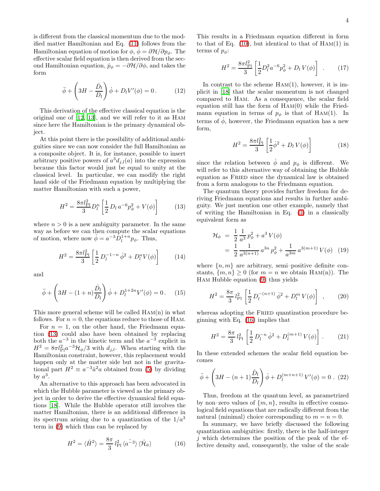is different from the classical momentum due to the modified matter Hamiltonian and Eq. [\(11\)](#page-3-1) follows from the Hamiltonian equation of motion for  $\phi$ ,  $\dot{\phi} = \partial \mathcal{H}/\partial p_{\phi}$ . The effective scalar field equation is then derived from the second Hamiltonian equation,  $\dot{p}_{\phi} = -\partial \mathcal{H}/\partial \phi$ , and takes the form

$$
\ddot{\phi} + \left(3H - \frac{\dot{D}_l}{D_l}\right)\dot{\phi} + D_l V'(\phi) = 0. \tag{12}
$$

<span id="page-4-2"></span>This derivation of the effective classical equation is the original one of [\[12,](#page-15-11) [13\]](#page-15-12), and we will refer to it as Ham since here the Hamiltonian is the primary dynamical object.

At this point there is the possibility of additional ambiguities since we can now consider the full Hamiltonian as a composite object. It is, for instance, possible to insert arbitrary positive powers of  $a^3d_{j,l}(a)$  into the expression because this factor would just be equal to unity at the classical level. In particular, we can modify the right hand side of the Friedmann equation by multiplying the matter Hamiltonian with such a power,

$$
H^{2} = \frac{8\pi l_{\rm Pl}^{2}}{3} D_{l}^{n} \left[ \frac{1}{2} D_{l} a^{-6} p_{\phi}^{2} + V(\phi) \right]
$$
 (13)

<span id="page-4-0"></span>where  $n > 0$  is a new ambiguity parameter. In the same way as before we can then compute the scalar equations of motion, where now  $\dot{\phi} = a^{-3} \hat{D}_l^{1+n} p_{\phi}$ . Thus,

$$
H^{2} = \frac{8\pi l_{\rm Pl}^{2}}{3} \left[ \frac{1}{2} D_{l}^{-1-n} \dot{\phi}^{2} + D_{l}^{n} V(\phi) \right]
$$
 (14)

and

$$
\ddot{\phi} + \left(3H - (1+n)\frac{\dot{D}_l}{D_l}\right)\dot{\phi} + D_l^{1+2n}V'(\phi) = 0.
$$
 (15)

This more general scheme will be called Ham(n) in what follows. For  $n = 0$ , the equations reduce to those of HAM.

For  $n = 1$ , on the other hand, the Friedmann equation [\(13\)](#page-4-0) could also have been obtained by replacing both the  $a^{-3}$  in the kinetic term and the  $a^{-3}$  explicit in  $H^2 = 8\pi l_{\rm Pl}^2 a^{-3} \mathcal{H}_{\phi}/3$  with  $d_{j,l}$ . When starting with the Hamiltonian constraint, however, this replacement would happen only at the matter side but not in the gravitational part  $H^2 \equiv a^{-3} \dot{a}^2 a$  obtained from [\(5\)](#page-3-2) by dividing by  $a^3$ .

An alternative to this approach has been advocated in which the Hubble parameter is viewed as the primary object in order to derive the effective dynamical field equations [\[18\]](#page-15-17). While the Hubble operator still involves the matter Hamiltonian, there is an additional difference in its spectrum arising due to a quantization of the  $1/a<sup>3</sup>$ term in [\(9\)](#page-3-3) which thus can be replaced by

<span id="page-4-1"></span>
$$
H^2 = \langle \hat{H}^2 \rangle = \frac{8\pi}{3} l_{\text{Pl}}^2 \langle a^2 \rangle \langle \hat{\mathcal{H}}_{\phi} \rangle \tag{16}
$$

This results in a Friedmann equation different in form to that of Eq.  $(10)$ , but identical to that of  $HAM(1)$  in terms of  $p_{\phi}$ :

$$
H^{2} = \frac{8\pi l_{\rm Pl}^{2}}{3} \left[ \frac{1}{2} D_{l}^{2} a^{-6} p_{\phi}^{2} + D_{l} V(\phi) \right] . \tag{17}
$$

In contrast to the scheme  $HAM(1)$ , however, it is implicit in [\[18\]](#page-15-17) that the scalar momentum is not changed compared to Ham. As a consequence, the scalar field equation still has the form of  $HAM(0)$  while the Friedmann equation in terms of  $p_{\phi}$  is that of HAM(1). In terms of  $\dot{\phi}$ , however, the Friedmann equation has a new form,

$$
H^{2} = \frac{8\pi l_{\rm Pl}^{2}}{3} \left[ \frac{1}{2} \dot{\phi}^{2} + D_{l} V(\phi) \right]
$$
 (18)

<span id="page-4-4"></span>since the relation between  $\dot{\phi}$  and  $p_{\phi}$  is different. We will refer to this alternative way of obtaining the Hubble equation as FRIED since the dynamical law is obtained from a form analogous to the Friedmann equation.

The quantum theory provides further freedom for deriving Friedmann equations and results in further ambiguity. We just mention one other example, namely that of writing the Hamiltonian in Eq. [\(1\)](#page-2-0) in a classically equivalent form as

$$
\mathcal{H}_{\phi} = \frac{1}{2} \frac{1}{a^3} p_{\phi}^2 + a^3 V(\phi)
$$
  
= 
$$
\frac{1}{2} \frac{1}{a^{3(n+1)}} a^{3n} p_{\phi}^2 + \frac{1}{a^{3m}} a^{3(m+1)} V(\phi)
$$
 (19)

<span id="page-4-3"></span>where  $\{n, m\}$  are arbitrary, semi-positive definite constants,  $\{m, n\} \geq 0$  (for  $m = n$  we obtain HAM(n)). The Ham Hubble equation [\(9\)](#page-3-3) thus yields

$$
H^{2} = \frac{8\pi}{3} l_{\text{Pl}}^{2} \left[ \frac{1}{2} D_{l}^{-(n+1)} \dot{\phi}^{2} + D_{l}^{m} V(\phi) \right] , \qquad (20)
$$

whereas adopting the FRIED quantization procedure beginning with Eq. [\(16\)](#page-4-1) implies that

$$
H^{2} = \frac{8\pi}{3} l_{\text{Pl}}^{2} \left[ \frac{1}{2} D_{l}^{-n} \dot{\phi}^{2} + D_{l}^{(m+1)} V(\phi) \right]. \tag{21}
$$

In these extended schemes the scalar field equation becomes

$$
\ddot{\phi} + \left(3H - (n+1)\frac{\dot{D}_l}{D_l}\right)\dot{\phi} + D_l^{(m+n+1)}V'(\phi) = 0.
$$
 (22)

Thus, freedom at the quantum level, as parametrized by non–zero values of  $\{m, n\}$ , results in effective cosmological field equations that are radically different from the natural (minimal) choice corresponding to  $m = n = 0$ .

In summary, we have briefly discussed the following quantization ambiguities: firstly, there is the half-integer  $i$  which determines the position of the peak of the effective density and, consequently, the value of the scale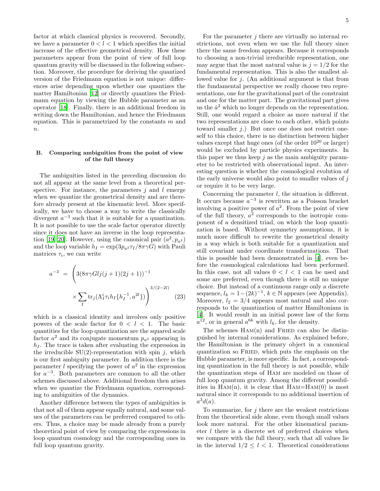factor at which classical physics is recovered. Secondly, we have a parameter  $0 < l < 1$  which specifies the initial increase of the effective geometrical density. How these parameters appear from the point of view of full loop quantum gravity will be discussed in the following subsection. Moreover, the procedure for deriving the quantized version of the Friedmann equation is not unique: differences arise depending upon whether one quantizes the matter Hamiltonian [\[12](#page-15-11)] or directly quantizes the Friedmann equation by viewing the Hubble parameter as an operator [\[18](#page-15-17)]. Finally, there is an additional freedom in writing down the Hamiltonian, and hence the Friedmann equation. This is parametrized by the constants  $m$  and  $\overline{n}$ .

# B. Comparing ambiguities from the point of view of the full theory

The ambiguities listed in the preceding discussion do not all appear at the same level from a theoretical perspective. For instance, the parameters  $j$  and  $l$  emerge when we quantize the geometrical density and are therefore already present at the kinematic level. More specifically, we have to choose a way to write the classically divergent  $a^{-3}$  such that it is suitable for a quantization. It is not possible to use the scale factor operator directly since it does not have an inverse in the loop representa-tion [\[19](#page-15-18), [20](#page-15-19)]. However, using the canonical pair  $(a^2, p_{a^2})$ and the loop variable  $h_I = \exp(3p_a^2 \tau_I / 8\pi \gamma G)$  with Pauli matrices  $\tau_i$ , we can write

<span id="page-5-0"></span>
$$
a^{-3} = \left(3(8\pi\gamma Glj(j+1)(2j+1))^{-1} \times \sum_{I} \text{tr}_{j}(\Lambda_{I}^{i}\tau_{i}h_{I}\{h_{I}^{-1}, a^{2l}\})\right)^{3/(2-2l)}
$$
(23)

which is a classical identity and involves only positive powers of the scale factor for  $0 < l < 1$ . The basic quantities for the loop quantization are the squared scale factor  $a^2$  and its conjugate momentum  $p_{a^2}$  appearing in  $h_I$ . The trace is taken after evaluating the expression in the irreducible  $SU(2)$ -representation with spin j, which is our first ambiguity parameter. In addition there is the parameter  $l$  specifying the power of  $a^2$  in the expression for  $a^{-3}$ . Both parameters are common to all the other schemes discussed above. Additional freedom then arises when we quantize the Friedmann equation, corresponding to ambiguities of the dynamics.

Another difference between the types of ambiguities is that not all of them appear equally natural, and some values of the parameters can be preferred compared to others. Thus, a choice may be made already from a purely theoretical point of view by comparing the expressions in loop quantum cosmology and the corresponding ones in full loop quantum gravity.

For the parameter  $j$  there are virtually no internal restrictions, not even when we use the full theory since there the same freedom appears. Because it corresponds to choosing a non-trivial irreducible representation, one may argue that the most natural value is  $j = 1/2$  for the fundamental representation. This is also the smallest allowed value for j. (An additional argument is that from the fundamental perspective we really choose two representations, one for the gravitational part of the constraint and one for the matter part. The gravitational part gives us the  $\dot{a}^2$  which no longer depends on the representation. Still, one would regard a choice as more natural if the two representations are close to each other, which points toward smaller  $j$ .) But once one does not restrict oneself to this choice, there is no distinction between higher values except that huge ones (of the order  $10^{20}$  or larger) would be excluded by particle physics experiments. In this paper we thus keep  $j$  as the main ambiguity parameter to be restricted with observational input. An interesting question is whether the cosmological evolution of the early universe would also point to smaller values of  $j$ or require it to be very large.

Concerning the parameter  $l$ , the situation is different. It occurs because  $a^{-3}$  is rewritten as a Poisson bracket involving a positive power of  $a^2$ . From the point of view of the full theory,  $a^2$  corresponds to the isotropic component of a densitized triad, on which the loop quantization is based. Without symmetry assumptions, it is much more difficult to rewrite the geometrical density in a way which is both suitable for a quantization and still covariant under coordinate transformations. That this is possible had been demonstrated in [\[4](#page-15-3)], even before the cosmological calculations had been performed. In this case, not all values  $0 < l < 1$  can be used and some are preferred, even though there is still no unique choice. But instead of a continuous range only a discrete sequence,  $l_k = 1 - (2k)^{-1}$ ,  $k \in \mathbb{N}$  appears (see Appendix). Moreover,  $l_2 = 3/4$  appears most natural and also corresponds to the quantization of matter Hamiltonians in [\[4\]](#page-15-3). It would result in an initial power law of the form  $a^{12}$ , or in general  $a^{6k}$  with  $l_k$ , for the density.

The schemes  $HAM(n)$  and FRIED can also be distinguished by internal considerations. As explained before, the Hamiltonian is the primary object in a canonical quantization so Fried, which puts the emphasis on the Hubble parameter, is more specific. In fact, a corresponding quantization in the full theory is not possible, while the quantization steps of Ham are modeled on those of full loop quantum gravity. Among the different possibilities in  $HAM(n)$ , it is clear that  $HAM=HAM(0)$  is most natural since it corresponds to no additional insertion of  $a^3d(a).$ 

To summarize, for  $j$  there are the weakest restrictions from the theoretical side alone, even though small values look more natural. For the other kinematical parameter l there is a discrete set of preferred choices when we compare with the full theory, such that all values lie in the interval  $1/2 \leq l < 1$ . Theoretical considerations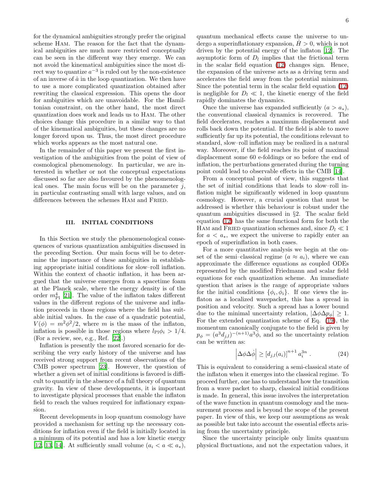for the dynamical ambiguities strongly prefer the original scheme Ham. The reason for the fact that the dynamical ambiguities are much more restricted conceptually can be seen in the different way they emerge. We can not avoid the kinematical ambiguities since the most direct way to quantize  $a^{-3}$  is ruled out by the non-existence of an inverse of  $\hat{a}$  in the loop quantization. We then have to use a more complicated quantization obtained after rewriting the classical expression. This opens the door for ambiguities which are unavoidable. For the Hamiltonian constraint, on the other hand, the most direct quantization does work and leads us to Ham. The other choices change this procedure in a similar way to that of the kinematical ambiguities, but these changes are no longer forced upon us. Thus, the most direct procedure which works appears as the most natural one.

In the remainder of this paper we present the first investigation of the ambiguities from the point of view of cosmological phenomenology. In particular, we are interested in whether or not the conceptual expectations discussed so far are also favoured by the phenomenological ones. The main focus will be on the parameter  $j$ , in particular contrasting small with large values, and on differences between the schemes Ham and Fried.

#### III. INITIAL CONDITIONS

In this Section we study the phenomenological consequences of various quantization ambiguities discussed in the preceding Section. Our main focus will be to determine the importance of these ambiguities in establishing appropriate initial conditions for slow–roll inflation. Within the context of chaotic inflation, it has been argued that the universe emerges from a spacetime foam at the Planck scale, where the energy density is of the order  $m_{\rm Pl}^4$  [\[21\]](#page-15-20). The value of the inflaton takes different values in the different regions of the universe and inflation proceeds in those regions where the field has suitable initial values. In the case of a quadratic potential,  $V(\phi) = m^2 \phi^2/2$ , where m is the mass of the inflaton, inflation is possible in those regions where  $l_{\text{Pl}}\phi_i > 1/4$ . (For a review, see, e.g., Ref. [\[22\]](#page-15-21).)

Inflation is presently the most favored scenario for describing the very early history of the universe and has received strong support from recent observations of the CMB power spectrum [\[23\]](#page-15-22). However, the question of whether a given set of initial conditions is favored is difficult to quantify in the absence of a full theory of quantum gravity. In view of these developments, it is important to investigate physical processes that enable the inflaton field to reach the values required for inflationary expansion.

Recent developments in loop quantum cosmology have provided a mechanism for setting up the necessary conditions for inflation even if the field is initially located in a minimum of its potential and has a low kinetic energy [\[12,](#page-15-11) [13](#page-15-12), [14](#page-15-13)]. At sufficiently small volume  $(a_i < a \ll a_*)$ , quantum mechanical effects cause the universe to undergo a superinflationary expansion,  $H > 0$ , which is not driven by the potential energy of the inflaton [\[12\]](#page-15-11). The asymptotic form of  $D_l$  implies that the frictional term in the scalar field equation [\(12\)](#page-4-2) changes sign. Hence, the expansion of the universe acts as a driving term and accelerates the field away from the potential minimum. Since the potential term in the scalar field equation [\(12\)](#page-4-2) is negligible for  $D_l \ll 1$ , the kinetic energy of the field rapidly dominates the dynamics.

Once the universe has expanded sufficiently  $(a > a_*)$ , the conventional classical dynamics is recovered. The field decelerates, reaches a maximum displacement and rolls back down the potential. If the field is able to move sufficiently far up its potential, the conditions relevant to standard, slow–roll inflation may be realized in a natural way. Moreover, if the field reaches its point of maximal displacement some 60 e-foldings or so before the end of inflation, the perturbations generated during the turning point could lead to observable effects in the CMB [\[14\]](#page-15-13).

From a conceptual point of view, this suggests that the set of initial conditions that leads to slow–roll inflation might be significantly widened in loop quantum cosmology. However, a crucial question that must be addressed is whether this behaviour is robust under the quantum ambiguities discussed in §2. The scalar field equation [\(12\)](#page-4-2) has the same functional form for both the HAM and FRIED quantization schemes and, since  $D_l \ll 1$ for  $a < a_*$ , we expect the universe to rapidly enter an epoch of superinflation in both cases.

For a more quantitative analysis we begin at the onset of the semi–classical regime  $(a \approx a_i)$ , where we can approximate the difference equations as coupled ODEs represented by the modified Friedmann and scalar field equations for each quantization scheme. An immediate question that arises is the range of appropriate values for the initial conditions  $\{\phi_i, \dot{\phi_i}\}$ . If one views the inflaton as a localized wavepacket, this has a spread in position and velocity. Such a spread has a lower bound due to the minimal uncertainty relation,  $|\Delta \phi \Delta p_{\phi}| \geq 1$ . For the extended quantization scheme of Eq. [\(19\)](#page-4-3), the momentum canonically conjugate to the field is given by  $p_{\phi} = (a^3 d_{j,l})^{-(n+1)} a^3 \phi$ , and so the uncertainty relation can be written as:

$$
\left| \Delta \phi \Delta \dot{\phi} \right| \ge \left[ d_{j,l}(a_i) \right]^{n+1} a_i^{3n} . \tag{24}
$$

<span id="page-6-0"></span>This is equivalent to considering a semi-classical state of the inflaton when it emerges into the classical regime. To proceed further, one has to understand how the transition from a wave packet to sharp, classical initial conditions is made. In general, this issue involves the interpretation of the wave function in quantum cosmology and the measurement process and is beyond the scope of the present paper. In view of this, we keep our assumptions as weak as possible but take into account the essential effects arising from the uncertainty principle.

Since the uncertainty principle only limits quantum physical fluctuations, and not the expectation values, it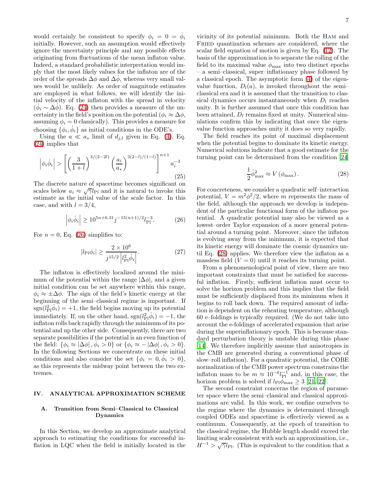would certainly be consistent to specify  $\phi_i = 0 = \dot{\phi}_i$ initially. However, such an assumption would effectively ignore the uncertainty principle and any possible effects originating from fluctuations of the mean inflaton value. Indeed, a standard probabilistic interpretation would imply that the most likely values for the inflaton are of the order of the spreads  $\Delta \phi$  and  $\Delta \dot{\phi}$ , whereas very small values would be unlikely. As order of magnitude estimates are employed in what follows, we will identify the initial velocity of the inflaton with the spread in velocity  $(\dot{\phi}_i \sim \Delta \dot{\phi})$ . Eq. [\(24\)](#page-6-0) then provides a measure of the uncertainty in the field's position on the potential ( $\phi_i \approx \Delta \phi$ , assuming  $\phi_i = 0$  classically). This provides a measure for choosing  $\{\phi_i, \dot{\phi}_i\}$  as initial conditions in the ODE's.

Using the  $a \ll a_*$  limit of  $d_{i,l}$  given in Eq. [\(4\)](#page-3-5), Eq. [\(24\)](#page-6-0) implies that

$$
\left|\phi_i\dot{\phi}_i\right| > \left[ \left(\frac{3}{1+l}\right)^{3/(2-2l)} \left(\frac{a_i}{a_*}\right)^{3(2-l)/(1-l)} \right]^{n+1} a_i^{-3} \tag{25}
$$

The discrete nature of spacetime becomes significant on scales below  $a_i \approx \sqrt{\gamma} l_{\text{Pl}}$  and it is natural to invoke this estimate as the initial value of the scale factor. In this case, and with  $l = 3/4$ ,

$$
\left| \phi_i \dot{\phi}_i \right| \ge 10^{5n + 6.31} j^{-15(n+1)/2} l_{\text{Pl}}^{-3}.
$$
 (26)

<span id="page-7-2"></span><span id="page-7-0"></span>For  $n = 0$ , Eq. [\(26\)](#page-7-0) simplifies to:

$$
|l_{\text{Pl}}\phi_i| \ge \frac{2 \times 10^6}{j^{15/2} |l_{\text{Pl}}^2\dot{\phi}_i|}.
$$
 (27)

The inflaton is effectively localized around the minimum of the potential within the range  $|\Delta\phi|$ , and a given initial condition can be set anywhere within this range,  $\phi_i \approx \pm \Delta \phi$ . The sign of the field's kinetic energy at the beginning of the semi–classical regime is important. If  $sgn(l_{\text{Pl}}^2\dot{\phi}_i) = +1$ , the field begins moving up its potential immediately. If, on the other hand,  $sgn(l_{\text{Pl}}^2\phi_i) = -1$ , the inflaton rolls back rapidly through the minimum of its potential and up the other side. Consequently, there are two separate possibilities if the potential is an even function of the field:  $\{\phi_i \approx |\Delta \phi|, \dot{\phi}_i > 0\}$  or  $\{\phi_i \approx -|\Delta \phi|, \dot{\phi}_i > 0\}.$ In the following Sections we concentrate on these initial conditions and also consider the set  $\{\phi_i = 0, \dot{\phi}_i > 0\},\$ as this represents the midway point between the two extremes.

#### IV. ANALYTICAL APPROXIMATION SCHEME

#### A. Transition from Semi–Classical to Classical Dynamics

In this Section, we develop an approximate analytical approach to estimating the conditions for successful inflation in LQC when the field is initially located in the

vicinity of its potential minimum. Both the Ham and FRIED quantization schemes are considered, where the scalar field equation of motion is given by Eq. [\(12\)](#page-4-2). The basis of the approximation is to separate the rolling of the field to its maximal value  $\phi_{\text{max}}$  into two distinct epochs – a semi–classical, super–inflationary phase followed by a classical epoch. The asymptotic form [\(4\)](#page-3-5) of the eigenvalue function,  $D_l(a)$ , is invoked throughout the semiclassical era and it is assumed that the transition to classical dynamics occurs instantaneously when  $D_l$  reaches unity. It is further assumed that once this condition has been attained,  $D_l$  remains fixed at unity. Numerical simulations confirm this by indicating that once the eigenvalue function approaches unity it does so very rapidly.

The field reaches its point of maximal displacement when the potential begins to dominate its kinetic energy. Numerical solutions indicate that a good estimate for the turning point can be determined from the condition [\[24](#page-15-23)]

$$
\frac{1}{2}\dot{\phi}_{\text{max}}^2 \approx V\left(\phi_{\text{max}}\right). \tag{28}
$$

<span id="page-7-1"></span>For concreteness, we consider a quadratic self–interaction potential,  $V = m^2 \phi^2 / 2$ , where m represents the mass of the field, although the approach we develop is independent of the particular functional form of the inflaton potential. A quadratic potential may also be viewed as a lowest–order Taylor expansion of a more general potential around a turning point. Moreover, since the inflaton is evolving away from the minimum, it is expected that its kinetic energy will dominate the cosmic dynamics until Eq. [\(28\)](#page-7-1) applies. We therefore view the inflaton as a massless field  $(V = 0)$  until it reaches its turning point.

From a phenomenological point of view, there are two important constraints that must be satisfied for successful inflation. Firstly, sufficient inflation must occur to solve the horizon problem and this implies that the field must be sufficiently displaced from its minimum when it begins to roll back down. The required amount of inflation is dependent on the reheating temperature, although 60 e–foldings is typically required. (We do not take into account the e-foldings of accelerated expansion that arise during the superinflationary epoch. This is because standard perturbation theory is unstable during this phase [\[14\]](#page-15-13). We therefore implicitly assume that anisotropies in the CMB are generated during a conventional phase of slow–roll inflation). For a quadratic potential, the COBE normalization of the CMB power spectrum constrains the inflaton mass to be  $m \approx 10^{-6} l_{\rm Pl}^{-1}$  and, in this case, the horizon problem is solved if  $l_{\text{Pl}}\phi_{\text{max}} \geq 3$  [\[21,](#page-15-20) [22\]](#page-15-21).

The second constraint concerns the region of parameter space where the semi–classical and classical approximations are valid. In this work, we confine ourselves to the regime where the dynamics is determined through coupled ODEs and spacetime is effectively viewed as a continuum. Consequently, at the epoch of transition to the classical regime, the Hubble length should exceed the limiting scale consistent with such an approximation, i.e.,  $H^{-1} > \sqrt{\gamma} l_{\text{Pl}}$ . (This is equivalent to the condition that a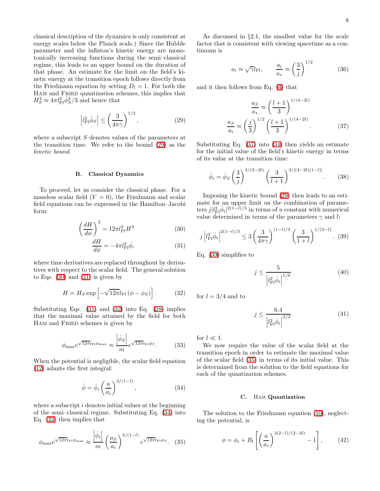classical description of the dynamics is only consistent at energy scales below the Planck scale.) Since the Hubble parameter and the inflaton's kinetic energy are monotonically increasing functions during the semi–classical regime, this leads to an upper bound on the duration of that phase. An estimate for the limit on the field's kinetic energy at the transition epoch follows directly from the Friedmann equation by setting  $D_l = 1$ . For both the Ham and Fried quantization schemes, this implies that  $H_S^2 \approx 4\pi l_{\rm Pl}^2 \dot{\phi}_S^2/3$  and hence that

$$
\left|l_{\text{Pl}}^2 \dot{\phi}_S\right| \le \left(\frac{3}{4\pi\gamma}\right)^{1/2},\tag{29}
$$

<span id="page-8-0"></span>where a subscript S denotes values of the parameters at the transition time. We refer to the bound [\(29\)](#page-8-0) as the kinetic bound.

## B. Classical Dynamics

To proceed, let us consider the classical phase. For a massless scalar field  $(V = 0)$ , the Friedmann and scalar field equations can be expressed in the Hamilton–Jacobi form:

$$
\left(\frac{dH}{d\phi}\right)^2 = 12\pi l_{\rm Pl}^2 H^2
$$
\n(30)

$$
\frac{dH}{d\phi} = -4\pi l_{\rm Pl}^2 \dot{\phi},\qquad(31)
$$

<span id="page-8-2"></span><span id="page-8-1"></span>where time derivatives are replaced throughout by derivatives with respect to the scalar field. The general solution to Eqs.  $(30)$  and  $(31)$  is given by

$$
H = H_S \exp\left[-\sqrt{12\pi}l_{\rm Pl}(\phi - \phi_S)\right].\tag{32}
$$

Substituting Eqs.  $(31)$  and  $(32)$  into Eq.  $(28)$  implies that the maximal value attained by the field for both HAM and FRIED schemes is given by

$$
\phi_{\text{max}} e^{\sqrt{12\pi}l_{\text{Pl}}\phi_{\text{max}}} \approx \frac{\left|\dot{\phi}_S\right|}{m} e^{\sqrt{12\pi}l_{\text{Pl}}\phi_S}.
$$
 (33)

<span id="page-8-4"></span><span id="page-8-3"></span>When the potential is negligible, the scalar field equation [\(12\)](#page-4-2) admits the first integral:

$$
\dot{\phi} = \dot{\phi}_i \left(\frac{a}{a_i}\right)^{3/(1-l)},\tag{34}
$$

where a subscript  $i$  denotes initial values at the beginning of the semi–classical regime. Substituting Eq. [\(34\)](#page-8-3) into Eq. [\(33\)](#page-8-4) then implies that

<span id="page-8-7"></span>
$$
\phi_{\text{max}} e^{\sqrt{12\pi}l_{\text{Pl}}\phi_{\text{max}}} \approx \frac{|\dot{\phi}_i|}{m} \left(\frac{as}{a_i}\right)^{3/(1-l)} e^{\sqrt{12\pi}l_{\text{Pl}}\phi_{S}}.
$$
 (35)

<span id="page-8-9"></span>As discussed in §2.1, the smallest value for the scale factor that is consistent with viewing spacetime as a continuum is

$$
a_i \approx \sqrt{\gamma}l_{\text{Pl}}, \qquad \frac{a_i}{a_*} \approx \left(\frac{3}{j}\right)^{1/2}
$$
 (36)

and it then follows from Eq. [\(4\)](#page-3-5) that

<span id="page-8-5"></span>
$$
\frac{a_S}{a_*} \approx \left(\frac{l+1}{3}\right)^{1/(4-2l)}
$$

$$
\frac{a_S}{a_i} \approx \left(\frac{j}{3}\right)^{1/2} \left(\frac{l+1}{3}\right)^{1/(4-2l)}.\tag{37}
$$

Substituting Eq. [\(37\)](#page-8-5) into [\(34\)](#page-8-3) then yields an estimate for the initial value of the field's kinetic energy in terms of its value at the transition time:

$$
\dot{\phi}_i = \dot{\phi}_S \left(\frac{3}{j}\right)^{3/(2-2l)} \left(\frac{3}{l+1}\right)^{3/[(4-2l)(1-l)]}.\tag{38}
$$

Imposing the kinetic bound [\(29\)](#page-8-0) then leads to an estimate for an upper limit on the combination of parameters  $j|l_{\text{Pl}}^2\phi_i|^{2(1-l)/3}$  in terms of a constant with numerical value determined in terms of the parameters  $\gamma$  and l:

<span id="page-8-6"></span>
$$
j\left|l_{\text{Pl}}^2\dot{\phi}_i\right|^{2(1-l)/3} \le 3\left(\frac{3}{4\pi\gamma}\right)^{(1-l)/3}\left(\frac{3}{1+l}\right)^{1/(2-l)}.\tag{39}
$$

<span id="page-8-10"></span>Eq. [\(39\)](#page-8-6) simplifies to

$$
j \le \frac{5}{\left|l_{\rm Pl}^2 \dot{\phi}_i\right|^{1/6}}\tag{40}
$$

<span id="page-8-11"></span>for  $l = 3/4$  and to

$$
j \le \frac{6.4}{|l_{\rm Pl}^2 \dot{\phi}_i|^{2/3}}\tag{41}
$$

for  $l \ll 1$ .

We now require the value of the scalar field at the transition epoch in order to estimate the maximal value of the scalar field [\(35\)](#page-8-7) in terms of its initial value. This is determined from the solution to the field equations for each of the quantization schemes.

#### C. Ham Quantization

<span id="page-8-8"></span>The solution to the Friedmann equation [\(10\)](#page-3-4), neglecting the potential, is

$$
\phi = \phi_i + B_l \left[ \left( \frac{a}{a_i} \right)^{3(2-l)/(2-2l)} - 1 \right], \quad (42)
$$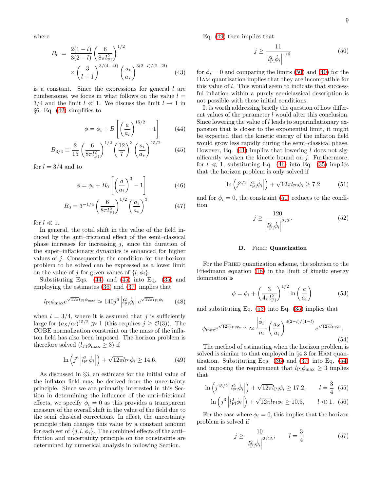where

$$
B_l = \frac{2(1-l)}{3(2-l)} \left(\frac{6}{8\pi l_{\rm Pl}^2}\right)^{1/2} \times \left(\frac{3}{l+1}\right)^{3/(4-4l)} \left(\frac{a_i}{a_*}\right)^{3(2-l)/(2-2l)} \tag{43}
$$

is a constant. Since the expressions for general  $l$  are cumbersome, we focus in what follows on the value  $l =$ 3/4 and the limit  $l \ll 1$ . We discuss the limit  $l \to 1$  in §6. Eq. [\(42\)](#page-8-8) simplifies to

$$
\phi = \phi_i + B \left[ \left( \frac{a}{a_i} \right)^{15/2} - 1 \right] \tag{44}
$$

<span id="page-9-0"></span>
$$
B_{3/4} \equiv \frac{2}{15} \left( \frac{6}{8\pi l_{\rm Pl}^2} \right)^{1/2} \left( \frac{12}{7} \right)^3 \left( \frac{a_i}{a_*} \right)^{15/2} \tag{45}
$$

<span id="page-9-3"></span>for  $l = 3/4$  and to

$$
\phi = \phi_i + B_0 \left[ \left( \frac{a}{a_i} \right)^3 - 1 \right] \tag{46}
$$

$$
B_0 = 3^{-1/4} \left(\frac{6}{8\pi l_{\rm Pl}^2}\right)^{1/2} \left(\frac{a_i}{a_*}\right)^3 \tag{47}
$$

for  $l \ll 1$ .

In general, the total shift in the value of the field induced by the anti–frictional effect of the semi–classical phase increases for increasing  $j$ , since the duration of the super–inflationary dynamics is enhanced for higher values of  $j$ . Consequently, the condition for the horizon problem to be solved can be expressed as a lower limit on the value of j for given values of  $\{l, \dot{\phi}_i\}$ .

<span id="page-9-10"></span>Substituting Eqs. [\(44\)](#page-9-0) and [\(45\)](#page-9-0) into Eq. [\(35\)](#page-8-7) and employing the estimates [\(36\)](#page-8-9) and [\(37\)](#page-8-5) implies that

$$
l_{\rm Pl}\phi_{\rm max}e^{\sqrt{12\pi}l_{\rm Pl}\phi_{\rm max}} \approx 140j^6 \left| l_{\rm Pl}^2 \dot{\phi}_i \right| e^{\sqrt{12\pi}l_{\rm Pl}\phi_i} \qquad (48)
$$

when  $l = 3/4$ , where it is assumed that j is sufficiently large for  $(a_S/a_i)^{15/2} \gg 1$  (this requires  $j \geq \mathcal{O}(3)$ ). The COBE normalization constraint on the mass of the inflaton field has also been imposed. The horizon problem is therefore solved  $(l_{\rm Pl}\phi_{\rm max}\geq 3)$  if

$$
\ln\left(j^6 \left|l_{\text{Pl}}^2 \dot{\phi}_i\right|\right) + \sqrt{12\pi} l_{\text{Pl}} \phi_i \ge 14.6. \tag{49}
$$

<span id="page-9-1"></span>As discussed in §3, an estimate for the initial value of the inflaton field may be derived from the uncertainty principle. Since we are primarily interested in this Section in determining the influence of the anti–frictional effects, we specify  $\phi_i = 0$  as this provides a transparent measure of the overall shift in the value of the field due to the semi–classical corrections. In effect, the uncertainty principle then changes this value by a constant amount for each set of  $\{j, l, \phi_i\}$ . The combined effects of the antifriction and uncertainty principle on the constraints are determined by numerical analysis in following Section.

<span id="page-9-2"></span>Eq. [\(49\)](#page-9-1) then implies that

$$
j \ge \frac{11}{|l_{\rm Pl}^2 \dot{\phi}_i|^{1/6}}\tag{50}
$$

for  $\phi_i = 0$  and comparing the limits [\(50\)](#page-9-2) and [\(40\)](#page-8-10) for the Ham quantization implies that they are incompatible for this value of l. This would seem to indicate that successful inflation within a purely semiclassical description is not possible with these initial conditions.

It is worth addressing briefly the question of how different values of the parameter l would alter this conclusion. Since lowering the value of l leads to superinflationary expansion that is closer to the exponential limit, it might be expected that the kinetic energy of the inflaton field would grow less rapidly during the semi–classical phase. However, Eq.  $(41)$  implies that lowering l does not significantly weaken the kinetic bound on  $i$ . Furthermore, for  $l \ll 1$ , substituting Eq. [\(46\)](#page-9-3) into Eq. [\(35\)](#page-8-7) implies that the horizon problem is only solved if

$$
\ln\left(j^{3/2} \left|l_{\text{Pl}}^2 \dot{\phi}_i\right|\right) + \sqrt{12\pi} l_{\text{Pl}} \phi_i \ge 7.2\tag{51}
$$

<span id="page-9-9"></span><span id="page-9-4"></span>and for  $\phi_i = 0$ , the constraint [\(51\)](#page-9-4) reduces to the condition

$$
j \ge \frac{120}{|l_{\rm Pl}^2 \dot{\phi}_i|^{2/3}}.\tag{52}
$$

#### D. FRIED Quantization

<span id="page-9-5"></span>For the FRIED quantization scheme, the solution to the Friedmann equation [\(18\)](#page-4-4) in the limit of kinetic energy domination is

$$
\phi = \phi_i + \left(\frac{3}{4\pi l_{\rm Pl}^2}\right)^{1/2} \ln\left(\frac{a}{a_i}\right) \tag{53}
$$

<span id="page-9-6"></span>and substituting Eq. [\(53\)](#page-9-5) into Eq. [\(35\)](#page-8-7) implies that

$$
\phi_{\max} e^{\sqrt{12\pi}l_{\text{Pl}}\phi_{\max}} \approx \frac{\left|\dot{\phi}_i\right|}{m} \left(\frac{a_S}{a_i}\right)^{3(2-l)/(1-l)} e^{\sqrt{12\pi}l_{\text{Pl}}\phi_i}.
$$
\n(54)

The method of estimating when the horizon problem is solved is similar to that employed in §4.3 for Ham quantization. Substituting Eqs. [\(36\)](#page-8-9) and [\(37\)](#page-8-5) into Eq. [\(54\)](#page-9-6) and imposing the requirement that  $l_{\text{Pl}}\phi_{\text{max}} \geq 3$  implies that

<span id="page-9-8"></span>
$$
\ln\left(j^{15/2} \left| l_{\text{Pl}}^2 \dot{\phi}_i \right| \right) + \sqrt{12\pi} l_{\text{Pl}} \phi_i \ge 17.2, \qquad l = \frac{3}{4} \tag{55}
$$
\n
$$
\ln\left(j^{3} \left| l^{2} \dot{\phi}_i \right| \right) + \sqrt{12\pi} l_{\phi} \phi_i > 10.6 \qquad l \ll 1 \tag{56}
$$

$$
\ln\left(j^3 \left|l_{\text{Pl}}^2 \dot{\phi}_i\right|\right) + \sqrt{12\pi} l_{\text{Pl}} \phi_i \ge 10.6, \qquad l \ll 1. \tag{56}
$$

<span id="page-9-7"></span>For the case where  $\phi_i = 0$ , this implies that the horizon problem is solved if

$$
j \ge \frac{10}{|l_{\text{Pl}}^2 \dot{\phi}_i|^{2/15}}, \qquad l = \frac{3}{4} \tag{57}
$$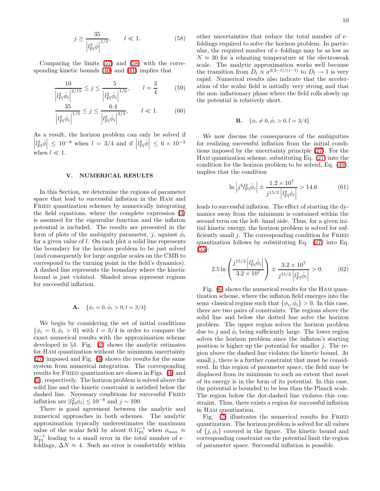$$
j \ge \frac{35}{|l_{\rm Pl}^2 \dot{\phi}|^{1/3}}, \qquad l \ll 1.
$$
 (58)

<span id="page-10-0"></span>Comparing the limits [\(57\)](#page-9-7) and [\(58\)](#page-9-7) with the corresponding kinetic bounds [\(40\)](#page-8-10) and [\(41\)](#page-8-11) implies that

$$
\frac{10}{|l_{\rm Pl}^2 \dot{\phi}_i|^{2/15}} \le j \le \frac{5}{|l_{\rm Pl}^2 \dot{\phi}_i|^{1/6}}, \qquad l = \frac{3}{4} \tag{59}
$$

$$
\frac{35}{|l_{\text{Pl}}^2 \dot{\phi}_i|^{1/3}} \le j \le \frac{6.4}{|l_{\text{Pl}}^2 \dot{\phi}_i|^{2/3}}, \qquad l \ll 1. \tag{60}
$$

As a result, the horizon problem can only be solved if  $\left|l_{\text{Pl}}^2 \dot{\phi} \right| \leq 10^{-9}$  when  $l = 3/4$  and if  $\left|l_{\text{Pl}}^2 \dot{\phi} \right| \leq 6 \times 10^{-3}$ when  $l \ll 1$ .

#### V. NUMERICAL RESULTS

In this Section, we determine the regions of parameter space that lead to successful inflation in the Ham and FRIED quantization schemes by numerically integrating the field equations, where the complete expression [\(3\)](#page-3-6) is assumed for the eigenvalue function and the inflaton potential is included. The results are presented in the form of plots of the ambiguity parameter, j, against  $\dot{\phi}_i$ for a given value of l. On each plot a solid line represents the boundary for the horizon problem to be just solved (and consequently for large angular scales on the CMB to correspond to the turning point in the field's dynamics). A dashed line represents the boundary where the kinetic bound is just violated. Shaded areas represent regions for successful inflation.

**A.** 
$$
\{\phi_i = 0, \dot{\phi}_i > 0, l = 3/4\}
$$

We begin by considering the set of initial conditions  $\{\phi_i = 0, \dot{\phi}_i > 0\}$  with  $l = 3/4$  in order to compare the exact numerical results with the approximation scheme developed in §4. Fig. [\(2\)](#page-11-0) shows the analytic estimates for Ham quantization without the minimum uncertainty [\(27\)](#page-7-2) imposed and Fig. [\(3\)](#page-11-1) shows the results for the same system from numerical integration. The corresponding results for FRIED quantization are shown in Figs. [\(4\)](#page-12-0) and [\(5\)](#page-12-1), respectively. The horizon problem is solved above the solid line and the kinetic constraint is satisfied below the dashed line. Necessary conditions for successful Fried inflation are  $|l_{\text{Pl}}^2 \dot{\phi}_i| \leq 10^{-8}$  and  $j \sim 100$ .

There is good agreement between the analytic and numerical approaches in both schemes. The analytic approximation typically underestimates the maximum value of the scalar field by about  $0.1l_{\text{Pl}}^{-1}$  when  $\phi_{\text{max}} \approx$  $3l_{\rm Pl}^{-1}$  leading to a small error in the total number of efoldings,  $\Delta N \approx 4$ . Such an error is comfortably within other uncertainties that reduce the total number of e– foldings required to solve the horizon problem. In particular, the required number of e–foldings may be as low as  $N \approx 30$  for a reheating temperature at the electroweak scale. The analytic approximation works well because the transition from  $D_l \propto a^{3(2-l)/(1-l)}$  to  $D_l \to 1$  is very rapid. Numerical results also indicate that the acceleration of the scalar field is initially very strong and that the non–inflationary phase where the field rolls slowly up the potential is relatively short.

**B.** 
$$
\{\phi_i \neq 0, \dot{\phi}_i > 0, l = 3/4\}
$$

We now discuss the consequences of the ambiguities for realizing successful inflation from the initial conditions imposed by the uncertainty principle [\(27\)](#page-7-2). For the Ham quantization scheme, substituting Eq. [\(27\)](#page-7-2) into the condition for the horizon problem to be solved, Eq. [\(49\)](#page-9-1), implies that the condition

$$
\ln \left| j^6 l_{\rm Pl}^2 \dot{\phi}_i \right| \pm \frac{1.2 \times 10^7}{j^{15/2} \left| l_{\rm Pl}^2 \dot{\phi}_i \right|} > 14.6 \tag{61}
$$

leads to successful inflation. The effect of starting the dynamics away from the minimum is contained within the second term on the left–hand side. Thus, for a given initial kinetic energy, the horizon problem is solved for sufficiently small  $j$ . The corresponding condition for FRIED quantization follows by substituting Eq. [\(27\)](#page-7-2) into Eq.  $(55):$  $(55):$ 

$$
2.5 \ln \left( \frac{j^{15/2} |l_{\text{Pl}}^2 \dot{\phi}_i|}{3.2 \times 10^7} \right) \pm \frac{3.2 \times 10^7}{j^{15/2} |l_{\text{Pl}}^2 \dot{\phi}_i|} > 0. \tag{62}
$$

Fig. [\(6\)](#page-12-2) shows the numerical results for the Ham quantization scheme, where the inflaton field emerges into the semi–classical regime such that  $\{\phi_i, \dot{\phi}_i\} > 0$ . In this case, there are two pairs of constraints. The regions above the solid line and below the dotted line solve the horizon problem. The upper region solves the horizon problem due to j and  $\dot{\phi}_i$  being sufficiently large. The lower region solves the horizon problem since the inflaton's starting position is higher up the potential for smaller  $j$ . The region above the dashed line violates the kinetic bound. At small  $j$ , there is a further constraint that must be considered. In this region of parameter space, the field may be displaced from its minimum to such an extent that most of its energy is in the form of its potential. In this case, the potential is bounded to be less than the Planck scale. The region below the dot-dashed line violates this constraint. Thus, there exists a region for successful inflation in Ham quantization.

Fig.  $(7)$  illustrates the numerical results for FRIED quantization. The horizon problem is solved for all values of  $\{j, \dot{\phi}_i\}$  covered in the figure. The kinetic bound and corresponding constraint on the potential limit the region of parameter space. Successful inflation is possible.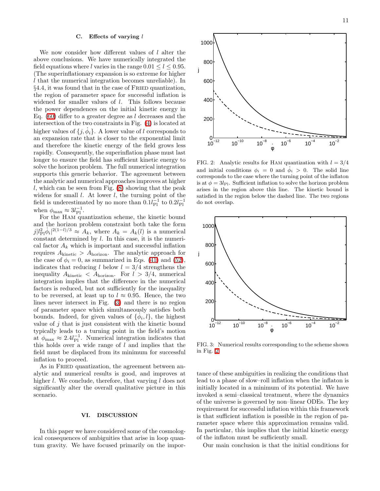#### C. Effects of varying  $l$

We now consider how different values of l alter the above conclusions. We have numerically integrated the field equations where l varies in the range  $0.01 \le l \le 0.95$ . (The superinflationary expansion is so extreme for higher l that the numerical integration becomes unreliable). In §4.4, it was found that in the case of FRIED quantization, the region of parameter space for successful inflation is widened for smaller values of  $l$ . This follows because the power dependences on the initial kinetic energy in Eq.  $(60)$  differ to a greater degree as l decreases and the intersection of the two constraints in Fig. [\(4\)](#page-12-0) is located at higher values of  $\{j, \phi_i\}$ . A lower value of l corresponds to an expansion rate that is closer to the exponential limit and therefore the kinetic energy of the field grows less rapidly. Consequently, the superinflation phase must last longer to ensure the field has sufficient kinetic energy to solve the horizon problem. The full numerical integration supports this generic behavior. The agreement between the analytic and numerical approaches improves at higher l, which can be seen from Fig.  $(8)$  showing that the peak widens for small  $l$ . At lower  $l$ , the turning point of the field is underestimated by no more than  $0.1 l_{\text{Pl}}^{-1}$  to  $0.2 l_{\text{Pl}}^{-1}$ when  $\phi_{\text{max}} \approx 3l_{\text{Pl}}^{-1}$ .

For the Ham quantization scheme, the kinetic bound and the horizon problem constraint both take the form  $j|l_{\text{Pl}}^2\phi_i|^{2(1-l)/3} \approx A_k$ , where  $A_k = A_k(l)$  is a numerical constant determined by l. In this case, it is the numerical factor  $A_k$  which is important and successful inflation requires  $A_{\text{kinetic}} > A_{\text{horizon}}$ . The analytic approach for the case of  $\phi_i = 0$ , as summarized in Eqs. [\(41\)](#page-8-11) and [\(52\)](#page-9-9), indicates that reducing l below  $l = 3/4$  strengthens the inequality  $A_{\text{kinetic}} < A_{\text{horizon}}$ . For  $l > 3/4$ , numerical integration implies that the difference in the numerical factors is reduced, but not sufficiently for the inequality to be reversed, at least up to  $l \approx 0.95$ . Hence, the two lines never intersect in Fig. [\(3\)](#page-11-1) and there is no region of parameter space which simultaneously satisfies both bounds. Indeed, for given values of  $\{\phi_i, l\}$ , the highest value of  $j$  that is just consistent with the kinetic bound typically leads to a turning point in the field's motion at  $\phi_{\text{max}} \approx 2.4 l_{\text{Pl}}^{-1}$ . Numerical integration indicates that this holds over a wide range of  $l$  and implies that the field must be displaced from its minimum for successful inflation to proceed.

As in FRIED quantization, the agreement between analytic and numerical results is good, and improves at higher l. We conclude, therefore, that varying l does not significantly alter the overall qualitative picture in this scenario.

#### VI. DISCUSSION

In this paper we have considered some of the cosmological consequences of ambiguities that arise in loop quantum gravity. We have focused primarily on the impor-



<span id="page-11-0"></span>FIG. 2: Analytic results for HAM quantization with  $l = 3/4$ and initial conditions  $\phi_i = 0$  and  $\dot{\phi}_i > 0$ . The solid line corresponds to the case where the turning point of the inflaton is at  $\phi = 3l_{\rm Pl}$ . Sufficient inflation to solve the horizon problem arises in the region above this line. The kinetic bound is satisfied in the region below the dashed line. The two regions do not overlap.



<span id="page-11-1"></span>FIG. 3: Numerical results corresponding to the scheme shown in Fig. [2.](#page-11-0)

tance of these ambiguities in realizing the conditions that lead to a phase of slow–roll inflation when the inflaton is initially located in a minimum of its potential. We have invoked a semi–classical treatment, where the dynamics of the universe is governed by non–linear ODEs. The key requirement for successful inflation within this framework is that sufficient inflation is possible in the region of parameter space where this approximation remains valid. In particular, this implies that the initial kinetic energy of the inflaton must be sufficiently small.

Our main conclusion is that the initial conditions for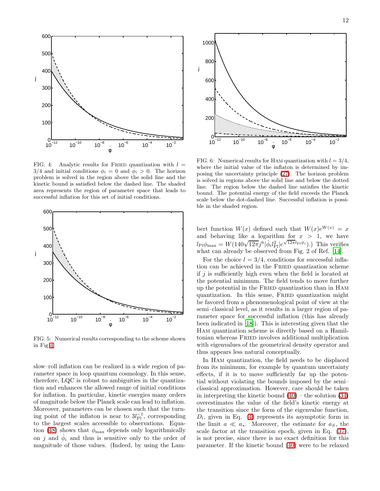

<span id="page-12-0"></span>FIG. 4: Analytic results for FRIED quantization with  $l =$  $3/4$  and initial conditions  $\phi_i = 0$  and  $\phi_i > 0$ . The horizon problem is solved in the region above the solid line and the kinetic bound is satisfied below the dashed line. The shaded area represents the region of parameter space that leads to successful inflation for this set of initial conditions.



<span id="page-12-1"></span>FIG. 5: Numerical results corresponding to the scheme shown in Fig [4.](#page-12-0)

slow–roll inflation can be realized in a wide region of parameter space in loop quantum cosmology. In this sense, therefore, LQC is robust to ambiguities in the quantization and enhances the allowed range of initial conditions for inflation. In particular, kinetic energies many orders of magnitude below the Planck scale can lead to inflation. Moreover, parameters can be chosen such that the turning point of the inflaton is near to  $3l_{\text{Pl}}^{-1}$ , corresponding to the largest scales accessible to observations. Equa-tion [\(48\)](#page-9-10) shows that  $\phi_{\text{max}}$  depends only logarithmically on j and  $\dot{\phi}_i$  and thus is sensitive only to the order of magnitude of those values. (Indeed, by using the Lam-



<span id="page-12-2"></span>FIG. 6: Numerical results for HAM quantization with  $l = 3/4$ , where the initial value of the inflaton is determined by imposing the uncertainty principle [\(27\)](#page-7-2). The horizon problem is solved in regions above the solid line and below the dotted line. The region below the dashed line satisfies the kinetic bound. The potential energy of the field exceeds the Planck scale below the dot-dashed line. Successful inflation is possible in the shaded region.

bert function  $W(x)$  defined such that  $W(x)e^{W(x)} = x$ and behaving like a logarithm for  $x > 1$ , we have  $l_{\text{Pl}}\phi_{\text{max}} = W(140\sqrt{12\pi}j^6|\dot{\phi}_i l_{\text{Pl}}^2|e^{\sqrt{12\pi}l_{\text{Pl}}\dot{\phi}_i}).$  This verifies what can already be observed from Fig. 2 of Ref. [\[14](#page-15-13)].

For the choice  $l = 3/4$ , conditions for successful inflation can be achieved in the FRIED quantization scheme if  $j$  is sufficiently high even when the field is located at the potential minimum. The field tends to move further up the potential in the Fried quantization than in Ham quantization. In this sense, FRIED quantization might be favored from a phenomenological point of view at the semi–classical level, as it results in a larger region of parameter space for successful inflation (this has already been indicated in [\[18\]](#page-15-17)). This is interesting given that the Ham quantization scheme is directly based on a Hamiltonian whereas Fried involves additional multiplication with eigenvalues of the geometrical density operator and thus appears less natural conceptually.

In Ham quantization, the field needs to be displaced from its minimum, for example by quantum uncertainty effects, if it is to move sufficiently far up the potential without violating the bounds imposed by the semi– classical approximation. However, care should be taken in interpreting the kinetic bound  $(40)$  – the solution  $(34)$ overestimates the value of the field's kinetic energy at the transition since the form of the eigenvalue function,  $D_l$ , given in Eq. [\(4\)](#page-3-5) represents its asymptotic form in the limit  $a \ll a_*$ . Moreover, the estimate for  $a_S$ , the scale factor at the transition epoch, given in Eq. [\(37\)](#page-8-5), is not precise, since there is no exact definition for this parameter. If the kinetic bound [\(40\)](#page-8-10) were to be relaxed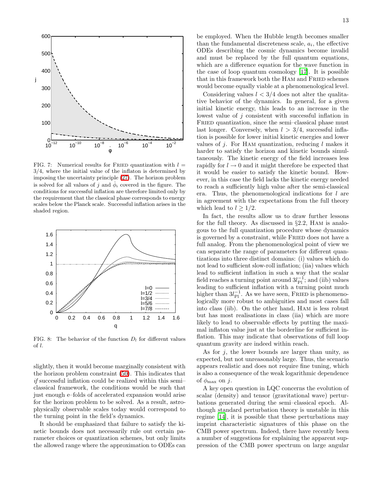

<span id="page-13-0"></span>FIG. 7: Numerical results for FRIED quantization with  $l =$ 3/4, where the initial value of the inflaton is determined by imposing the uncertainty principle [\(27\)](#page-7-2). The horizon problem is solved for all values of j and  $\dot{\phi}_i$  covered in the figure. The conditions for successful inflation are therefore limited only by the requirement that the classical phase corresponds to energy scales below the Planck scale. Successful inflation arises in the shaded region.



<span id="page-13-1"></span>FIG. 8: The behavior of the function  $D_l$  for different values of l.

slightly, then it would become marginally consistent with the horizon problem constraint [\(50\)](#page-9-2). This indicates that if successful inflation could be realized within this semi– classical framework, the conditions would be such that just enough e–folds of accelerated expansion would arise for the horizon problem to be solved. As a result, astrophysically observable scales today would correspond to the turning point in the field's dynamics.

It should be emphasized that failure to satisfy the kinetic bounds does not necessarily rule out certain parameter choices or quantization schemes, but only limits the allowed range where the approximation to ODEs can

be employed. When the Hubble length becomes smaller than the fundamental discreteness scale,  $a_i$ , the effective ODEs describing the cosmic dynamics become invalid and must be replaced by the full quantum equations, which are a difference equation for the wave function in the case of loop quantum cosmology [\[17\]](#page-15-16). It is possible that in this framework both the HAM and FRIED schemes would become equally viable at a phenomenological level.

Considering values  $l < 3/4$  does not alter the qualitative behavior of the dynamics. In general, for a given initial kinetic energy, this leads to an increase in the lowest value of j consistent with successful inflation in FRIED quantization, since the semi-classical phase must last longer. Conversely, when  $l > 3/4$ , successful inflation is possible for lower initial kinetic energies and lower values of  $i$ . For HAM quantization, reducing l makes it harder to satisfy the horizon and kinetic bounds simultaneously. The kinetic energy of the field increases less rapidly for  $l \to 0$  and it might therefore be expected that it would be easier to satisfy the kinetic bound. However, in this case the field lacks the kinetic energy needed to reach a sufficiently high value after the semi-classical era. Thus, the phenomenological indications for  $l$  are in agreement with the expectations from the full theory which lead to  $l \geq 1/2$ .

In fact, the results allow us to draw further lessons for the full theory. As discussed in §2.2, Ham is analogous to the full quantization procedure whose dynamics is governed by a constraint, while FRIED does not have a full analog. From the phenomenological point of view we can separate the range of parameters for different quantizations into three distinct domains: (i) values which do not lead to sufficient slow-roll inflation; (iia) values which lead to sufficient inflation in such a way that the scalar field reaches a turning point around  $3l_{\text{Pl}}^{-1}$ ; and (iib) values leading to sufficient inflation with a turning point much higher than  $3l_{\rm Pl}^{-1}$ . As we have seen, FRIED is phenomenologically more robust to ambiguities and most cases fall into class (iib). On the other hand, Ham is less robust but has most realisations in class (iia) which are more likely to lead to observable effects by putting the maximal inflaton value just at the borderline for sufficient inflation. This may indicate that observations of full loop quantum gravity are indeed within reach.

As for  $i$ , the lower bounds are larger than unity, as expected, but not unreasonably large. Thus, the scenario appears realistic and does not require fine tuning, which is also a consequence of the weak logarithmic dependence of  $\phi_{\text{max}}$  on j.

A key open question in LQC concerns the evolution of scalar (density) and tensor (gravitational wave) perturbations generated during the semi–classical epoch. Although standard perturbation theory is unstable in this regime [\[14\]](#page-15-13), it is possible that these perturbations may imprint characteristic signatures of this phase on the CMB power spectrum. Indeed, there have recently been a number of suggestions for explaining the apparent suppression of the CMB power spectrum on large angular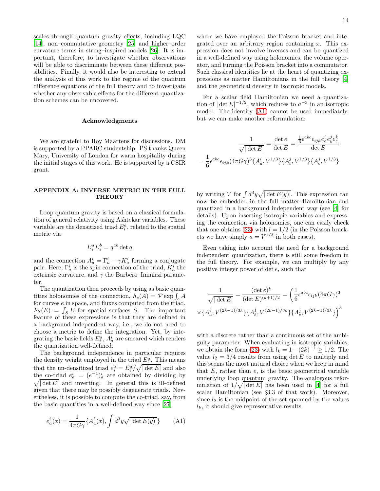scales through quantum gravity effects, including LQC [\[14\]](#page-15-13), non–commutative geometry [\[25](#page-15-24)] and higher–order curvature terms in string–inspired models [\[26\]](#page-15-25). It is important, therefore, to investigate whether observations will be able to discriminate between these different possibilities. Finally, it would also be interesting to extend the analysis of this work to the regime of the quantum difference equations of the full theory and to investigate whether any observable effects for the different quantization schemes can be uncovered.

#### Acknowledgments

We are grateful to Roy Maartens for discussions. DM is supported by a PPARC studentship. PS thanks Queen Mary, University of London for warm hospitality during the initial stages of this work. He is supported by a CSIR grant.

## APPENDIX A: INVERSE METRIC IN THE FULL **THEORY**

Loop quantum gravity is based on a classical formulation of general relativity using Ashtekar variables. These variable are the densitized triad  $E_i^a$ , related to the spatial metric via

$$
E_i^a E_i^b = q^{ab} \det q
$$

and the connection  $A_a^i = \Gamma_a^i - \gamma K_a^i$  forming a conjugate pair. Here,  $\Gamma_a^i$  is the spin connection of the triad,  $K_a^i$  the extrinsic curvature, and  $\gamma$  the Barbero–Immirzi parameter.

The quantization then proceeds by using as basic quantities holonomies of the connection,  $h_e(A) = \mathcal{P} \exp \int_e A$ for curves e in space, and fluxes computed from the triad,  $F_S(E) = \int_S E$  for spatial surfaces S. The important feature of these expressions is that they are defined in a background independent way, i.e., we do not need to choose a metric to define the integration. Yet, by integrating the basic fields  $E_i^a$ ,  $A_a^i$  are smeared which renders the quantization well-defined.

The background independence in particular requires the density weight employed in the triad  $\underline{E_i^a}$ . This means that the un-densitized triad  $e_i^a = E_i^a / \sqrt{|\det E|}$  and also the co-triad  $e_a^i = (e^{-1})_a^i$  are obtained by dividing by the co-triad  $e_a = (e_a)_a$  are obtained by dividing by<br>  $\sqrt{|\det E|}$  and inverting. In general this is ill-defined given that there may be possibly degenerate triads. Nevertheless, it is possible to compute the co-triad, say, from the basic quantities in a well-defined way since [\[27\]](#page-15-26)

<span id="page-14-0"></span>
$$
e_a^i(x) = \frac{1}{4\pi G\gamma} \{A_a^i(x), \int d^3y \sqrt{|\det E(y)|}\}\tag{A1}
$$

where we have employed the Poisson bracket and integrated over an arbitrary region containing  $x$ . This expression does not involve inverses and can be quantized in a well-defined way using holonomies, the volume operator, and turning the Poisson bracket into a commutator. Such classical identities lie at the heart of quantizing expressions as matter Hamiltonians in the full theory [\[4](#page-15-3)] and the geometrical density in isotropic models.

For a scalar field Hamiltonian we need a quantization of  $|\det E|^{-1/2}$ , which reduces to  $a^{-3}$  in an isotropic model. The identity [\(A1\)](#page-14-0) cannot be used immediately, but we can make another reformulation:

$$
\frac{1}{\sqrt{|\det E|}} = \frac{\det e}{\det E} = \frac{\frac{1}{6}\epsilon^{abc}\epsilon_{ijk}e_a^i e_b^j e_c^k}{\det E}
$$

$$
= \frac{1}{6}\epsilon^{abc}\epsilon_{ijk}(4\pi G\gamma)^3 \{A_a^i, V^{1/3}\}\{A_b^j, V^{1/3}\}\{A_c^j, V^{1/3}\}
$$

by writing V for  $\int d^3y \sqrt{|\det E(y)|}$ . This expression can now be embedded in the full matter Hamiltonian and quantized in a background independent way (see [\[4\]](#page-15-3) for details). Upon inserting isotropic variables and expressing the connection via holonomies, one can easily check that one obtains [\(23\)](#page-5-0) with  $l = 1/2$  (in the Poisson brackets we have simply  $a = V^{1/3}$  in both cases).

Even taking into account the need for a background independent quantization, there is still some freedom in the full theory. For example, we can multiply by any positive integer power of det e, such that

$$
\frac{1}{\sqrt{|\det E|}} = \frac{(\det e)^k}{(\det E)^{(k+1)/2}} = \left(\frac{1}{6} \epsilon^{abc} \epsilon_{ijk} (4\pi G \gamma)^3 \times \{A_a^i, V^{(2k-1)/3k}\} \{A_b^j, V^{(2k-1)/3k}\} \{A_c^j, V^{(2k-1)/3k}\}\right)^k
$$

with a discrete rather than a continuous set of the ambiguity parameter. When evaluating in isotropic variables, we obtain the form [\(23\)](#page-5-0) with  $l_k = 1 - (2k)^{-1} \geq 1/2$ . The value  $l_2 = 3/4$  results from using det E to multiply and this seems the most natural choice when we keep in mind that  $E$ , rather than  $e$ , is the basic geometrical variable underlying loop quantum gravity. The analogous reformulation of  $1/\sqrt{|\det E|}$  has been used in [\[4](#page-15-3)] for a full scalar Hamiltonian (see §3.3 of that work). Moreover, since  $l_2$  is the midpoint of the set spanned by the values  $l_k$ , it should give representative results.